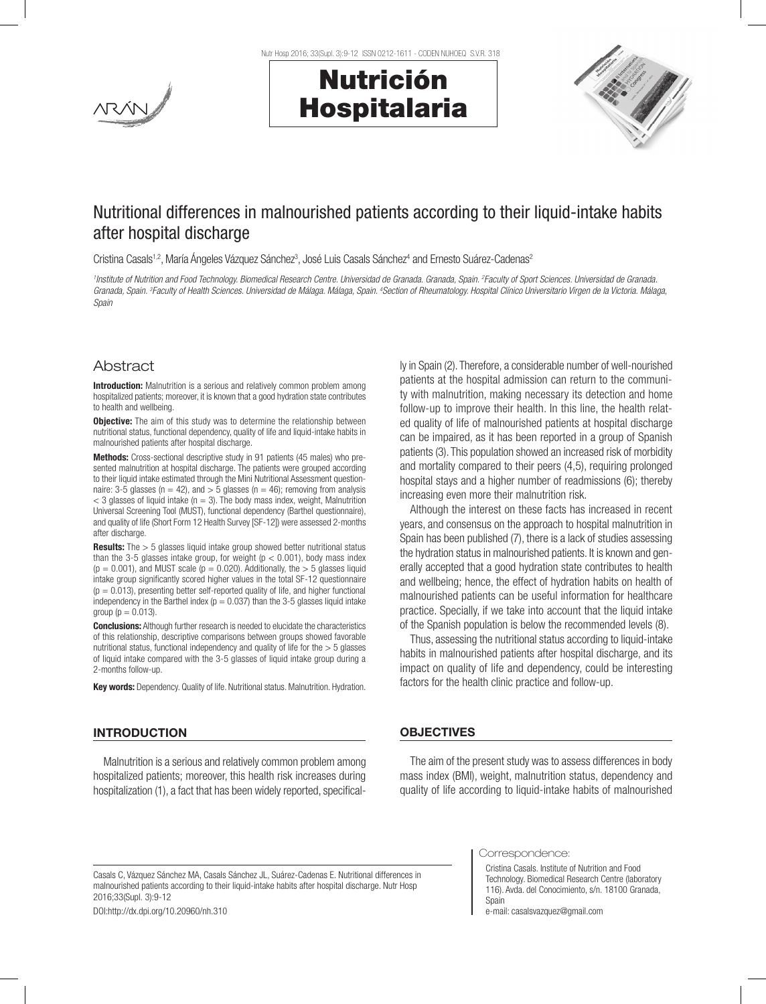

Nutr Hosp 2016; 33(Supl. 3):9-12 ISSN 0212-1611 - CODEN NUHOEQ S.V.R. 318





# Nutritional differences in malnourished patients according to their liquid-intake habits after hospital discharge

Cristina Casals<sup>1,2</sup>, María Ángeles Vázquez Sánchez<sup>3</sup>, José Luis Casals Sánchez<sup>4</sup> and Ernesto Suárez-Cadenas<sup>2</sup>

*1 Institute of Nutrition and Food Technology. Biomedical Research Centre. Universidad de Granada. Granada, Spain. 2 Faculty of Sport Sciences. Universidad de Granada.*  Granada, Spain. <sup>3</sup>Faculty of Health Sciences. Universidad de Málaga, Málaga, Spain. <sup>4</sup>Section of Rheumatology. Hospital Clínico Universitario Virgen de la Victoria. Málaga, *Spain*

## Abstract

**Introduction:** Malnutrition is a serious and relatively common problem among hospitalized patients; moreover, it is known that a good hydration state contributes to health and wellbeing.

**Objective:** The aim of this study was to determine the relationship between nutritional status, functional dependency, quality of life and liquid-intake habits in malnourished patients after hospital discharge.

Methods: Cross-sectional descriptive study in 91 patients (45 males) who presented malnutrition at hospital discharge. The patients were grouped according to their liquid intake estimated through the Mini Nutritional Assessment questionnaire: 3-5 glasses ( $n = 42$ ), and  $> 5$  glasses ( $n = 46$ ); removing from analysis  $<$  3 glasses of liquid intake (n = 3). The body mass index, weight, Malnutrition Universal Screening Tool (MUST), functional dependency (Barthel questionnaire), and quality of life (Short Form 12 Health Survey [SF-12]) were assessed 2-months after discharge.

**Results:** The > 5 glasses liquid intake group showed better nutritional status than the 3-5 glasses intake group, for weight ( $p < 0.001$ ), body mass index  $(p = 0.001)$ , and MUST scale  $(p = 0.020)$ . Additionally, the  $> 5$  glasses liquid intake group significantly scored higher values in the total SF-12 questionnaire  $(p = 0.013)$ , presenting better self-reported quality of life, and higher functional independency in the Barthel index ( $p = 0.037$ ) than the 3-5 glasses liquid intake group ( $p = 0.013$ ).

**Conclusions:** Although further research is needed to elucidate the characteristics of this relationship, descriptive comparisons between groups showed favorable nutritional status, functional independency and quality of life for the  $>$  5 glasses of liquid intake compared with the 3-5 glasses of liquid intake group during a 2-months follow-up.

Key words: Dependency. Quality of life. Nutritional status. Malnutrition. Hydration.

## INTRODUCTION

Malnutrition is a serious and relatively common problem among hospitalized patients; moreover, this health risk increases during hospitalization (1), a fact that has been widely reported, specifically in Spain (2). Therefore, a considerable number of well-nourished patients at the hospital admission can return to the community with malnutrition, making necessary its detection and home follow-up to improve their health. In this line, the health related quality of life of malnourished patients at hospital discharge can be impaired, as it has been reported in a group of Spanish patients (3). This population showed an increased risk of morbidity and mortality compared to their peers (4,5), requiring prolonged hospital stays and a higher number of readmissions (6); thereby increasing even more their malnutrition risk.

Although the interest on these facts has increased in recent years, and consensus on the approach to hospital malnutrition in Spain has been published (7), there is a lack of studies assessing the hydration status in malnourished patients. It is known and generally accepted that a good hydration state contributes to health and wellbeing; hence, the effect of hydration habits on health of malnourished patients can be useful information for healthcare practice. Specially, if we take into account that the liquid intake of the Spanish population is below the recommended levels (8).

Thus, assessing the nutritional status according to liquid-intake habits in malnourished patients after hospital discharge, and its impact on quality of life and dependency, could be interesting factors for the health clinic practice and follow-up.

### **OBJECTIVES**

The aim of the present study was to assess differences in body mass index (BMI), weight, malnutrition status, dependency and quality of life according to liquid-intake habits of malnourished

DOI:http://dx.dpi.org/10.20960/nh.310

Correspondence:

Cristina Casals. Institute of Nutrition and Food Technology. Biomedical Research Centre (laboratory 116). Avda. del Conocimiento, s/n. 18100 Granada, Spain

e-mail: casalsvazquez@gmail.com

Casals C, Vázquez Sánchez MA, Casals Sánchez JL, Suárez-Cadenas E. Nutritional differences in malnourished patients according to their liquid-intake habits after hospital discharge. Nutr Hosp 2016;33(Supl. 3):9-12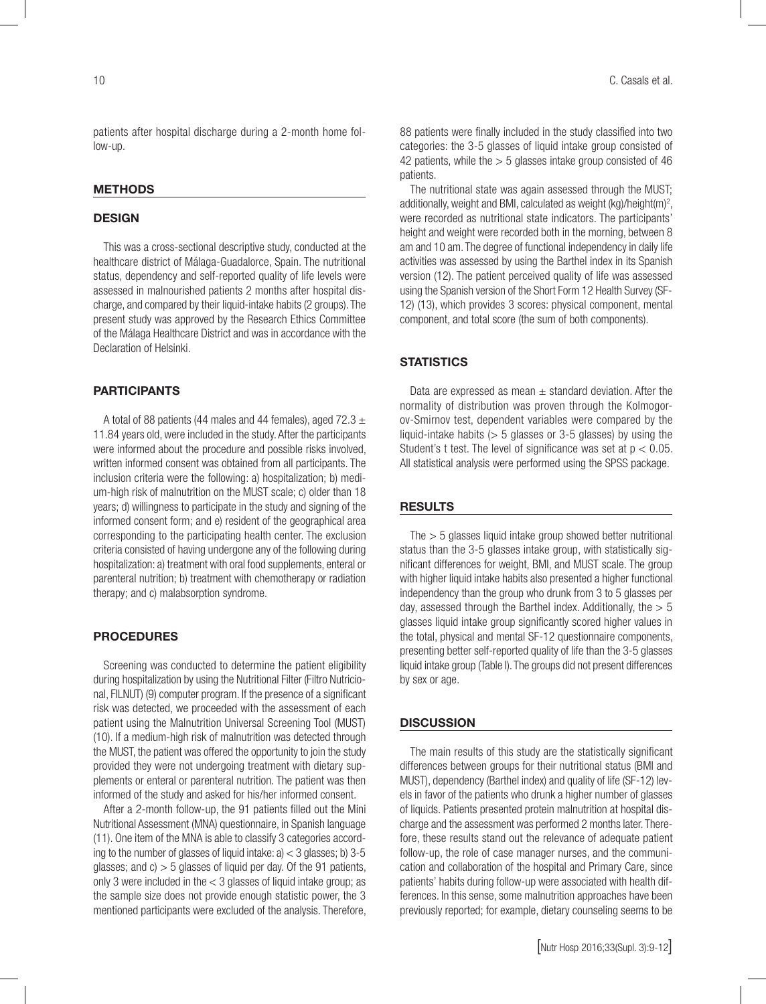patients after hospital discharge during a 2-month home follow-up.

#### **METHODS**

#### **DESIGN**

This was a cross-sectional descriptive study, conducted at the healthcare district of Málaga-Guadalorce, Spain. The nutritional status, dependency and self-reported quality of life levels were assessed in malnourished patients 2 months after hospital discharge, and compared by their liquid-intake habits (2 groups). The present study was approved by the Research Ethics Committee of the Málaga Healthcare District and was in accordance with the Declaration of Helsinki.

#### PARTICIPANTS

A total of 88 patients (44 males and 44 females), aged 72.3  $\pm$ 11.84 years old, were included in the study. After the participants were informed about the procedure and possible risks involved, written informed consent was obtained from all participants. The inclusion criteria were the following: a) hospitalization; b) medium-high risk of malnutrition on the MUST scale; c) older than 18 years; d) willingness to participate in the study and signing of the informed consent form; and e) resident of the geographical area corresponding to the participating health center. The exclusion criteria consisted of having undergone any of the following during hospitalization: a) treatment with oral food supplements, enteral or parenteral nutrition; b) treatment with chemotherapy or radiation therapy; and c) malabsorption syndrome.

#### PROCEDURES

Screening was conducted to determine the patient eligibility during hospitalization by using the Nutritional Filter (Filtro Nutricional, FILNUT) (9) computer program. If the presence of a significant risk was detected, we proceeded with the assessment of each patient using the Malnutrition Universal Screening Tool (MUST) (10). If a medium-high risk of malnutrition was detected through the MUST, the patient was offered the opportunity to join the study provided they were not undergoing treatment with dietary supplements or enteral or parenteral nutrition. The patient was then informed of the study and asked for his/her informed consent.

After a 2-month follow-up, the 91 patients filled out the Mini Nutritional Assessment (MNA) questionnaire, in Spanish language (11). One item of the MNA is able to classify 3 categories according to the number of glasses of liquid intake:  $a$ )  $<$  3 glasses; b) 3-5 glasses; and  $c$ )  $>$  5 glasses of liquid per day. Of the 91 patients, only 3 were included in the  $<$  3 glasses of liquid intake group; as the sample size does not provide enough statistic power, the 3 mentioned participants were excluded of the analysis. Therefore, 88 patients were finally included in the study classified into two categories: the 3-5 glasses of liquid intake group consisted of 42 patients, while the  $> 5$  glasses intake group consisted of 46 patients.

The nutritional state was again assessed through the MUST; additionally, weight and BMI, calculated as weight  $(kg)/\text{height}(m)^2$ , were recorded as nutritional state indicators. The participants' height and weight were recorded both in the morning, between 8 am and 10 am. The degree of functional independency in daily life activities was assessed by using the Barthel index in its Spanish version (12). The patient perceived quality of life was assessed using the Spanish version of the Short Form 12 Health Survey (SF-12) (13), which provides 3 scores: physical component, mental component, and total score (the sum of both components).

## **STATISTICS**

Data are expressed as mean  $\pm$  standard deviation. After the normality of distribution was proven through the Kolmogorov-Smirnov test, dependent variables were compared by the liquid-intake habits  $(> 5$  glasses or 3-5 glasses) by using the Student's t test. The level of significance was set at  $p < 0.05$ . All statistical analysis were performed using the SPSS package.

## RESULTS

The  $>$  5 glasses liquid intake group showed better nutritional status than the 3-5 glasses intake group, with statistically significant differences for weight, BMI, and MUST scale. The group with higher liquid intake habits also presented a higher functional independency than the group who drunk from 3 to 5 glasses per day, assessed through the Barthel index. Additionally, the  $> 5$ glasses liquid intake group significantly scored higher values in the total, physical and mental SF-12 questionnaire components, presenting better self-reported quality of life than the 3-5 glasses liquid intake group (Table I). The groups did not present differences by sex or age.

#### **DISCUSSION**

The main results of this study are the statistically significant differences between groups for their nutritional status (BMI and MUST), dependency (Barthel index) and quality of life (SF-12) levels in favor of the patients who drunk a higher number of glasses of liquids. Patients presented protein malnutrition at hospital discharge and the assessment was performed 2 months later. Therefore, these results stand out the relevance of adequate patient follow-up, the role of case manager nurses, and the communication and collaboration of the hospital and Primary Care, since patients' habits during follow-up were associated with health differences. In this sense, some malnutrition approaches have been previously reported; for example, dietary counseling seems to be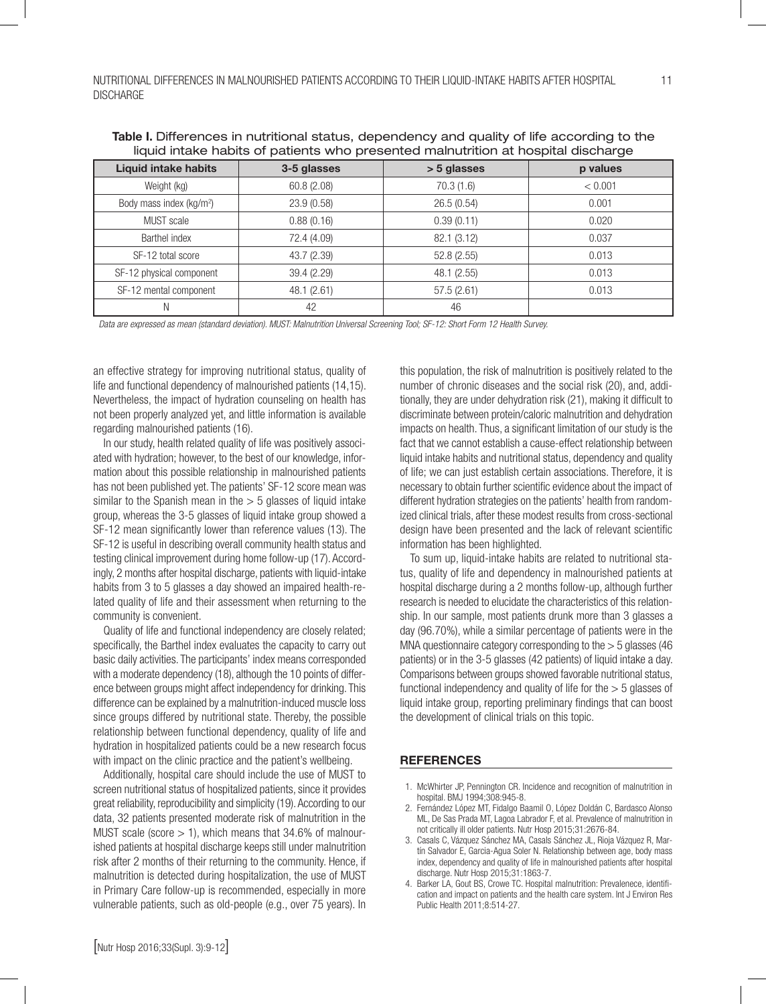| <u>madia interior nebito or pationito who prosonitod maintention at nospital discriargo</u> |             |             |          |
|---------------------------------------------------------------------------------------------|-------------|-------------|----------|
| <b>Liquid intake habits</b>                                                                 | 3-5 glasses | > 5 glasses | p values |
| Weight (kg)                                                                                 | 60.8 (2.08) | 70.3(1.6)   | < 0.001  |
| Body mass index (kg/m <sup>2</sup> )                                                        | 23.9 (0.58) | 26.5(0.54)  | 0.001    |
| MUST scale                                                                                  | 0.88(0.16)  | 0.39(0.11)  | 0.020    |
| Barthel index                                                                               | 72.4 (4.09) | 82.1 (3.12) | 0.037    |
| SF-12 total score                                                                           | 43.7 (2.39) | 52.8(2.55)  | 0.013    |
| SF-12 physical component                                                                    | 39.4 (2.29) | 48.1 (2.55) | 0.013    |
| SF-12 mental component                                                                      | 48.1(2.61)  | 57.5(2.61)  | 0.013    |
|                                                                                             | 42          | 46          |          |

Table I. Differences in nutritional status, dependency and quality of life according to the liquid intake habits of patients who presented malnutrition at hospital discharge

*Data are expressed as mean (standard deviation). MUST: Malnutrition Universal Screening Tool; SF-12: Short Form 12 Health Survey.*

an effective strategy for improving nutritional status, quality of life and functional dependency of malnourished patients (14,15). Nevertheless, the impact of hydration counseling on health has not been properly analyzed yet, and little information is available regarding malnourished patients (16).

In our study, health related quality of life was positively associated with hydration; however, to the best of our knowledge, information about this possible relationship in malnourished patients has not been published yet. The patients' SF-12 score mean was similar to the Spanish mean in the  $> 5$  glasses of liquid intake group, whereas the 3-5 glasses of liquid intake group showed a SF-12 mean significantly lower than reference values (13). The SF-12 is useful in describing overall community health status and testing clinical improvement during home follow-up (17). Accordingly, 2 months after hospital discharge, patients with liquid-intake habits from 3 to 5 glasses a day showed an impaired health-related quality of life and their assessment when returning to the community is convenient.

Quality of life and functional independency are closely related; specifically, the Barthel index evaluates the capacity to carry out basic daily activities. The participants' index means corresponded with a moderate dependency (18), although the 10 points of difference between groups might affect independency for drinking. This difference can be explained by a malnutrition-induced muscle loss since groups differed by nutritional state. Thereby, the possible relationship between functional dependency, quality of life and hydration in hospitalized patients could be a new research focus with impact on the clinic practice and the patient's wellbeing.

Additionally, hospital care should include the use of MUST to screen nutritional status of hospitalized patients, since it provides great reliability, reproducibility and simplicity (19). According to our data, 32 patients presented moderate risk of malnutrition in the MUST scale (score  $> 1$ ), which means that 34.6% of malnourished patients at hospital discharge keeps still under malnutrition risk after 2 months of their returning to the community. Hence, if malnutrition is detected during hospitalization, the use of MUST in Primary Care follow-up is recommended, especially in more vulnerable patients, such as old-people (e.g., over 75 years). In this population, the risk of malnutrition is positively related to the number of chronic diseases and the social risk (20), and, additionally, they are under dehydration risk (21), making it difficult to discriminate between protein/caloric malnutrition and dehydration impacts on health. Thus, a significant limitation of our study is the fact that we cannot establish a cause-effect relationship between liquid intake habits and nutritional status, dependency and quality of life; we can just establish certain associations. Therefore, it is necessary to obtain further scientific evidence about the impact of different hydration strategies on the patients' health from randomized clinical trials, after these modest results from cross-sectional design have been presented and the lack of relevant scientific information has been highlighted.

To sum up, liquid-intake habits are related to nutritional status, quality of life and dependency in malnourished patients at hospital discharge during a 2 months follow-up, although further research is needed to elucidate the characteristics of this relationship. In our sample, most patients drunk more than 3 glasses a day (96.70%), while a similar percentage of patients were in the MNA questionnaire category corresponding to the > 5 glasses (46 patients) or in the 3-5 glasses (42 patients) of liquid intake a day. Comparisons between groups showed favorable nutritional status, functional independency and quality of life for the  $>$  5 glasses of liquid intake group, reporting preliminary findings that can boost the development of clinical trials on this topic.

#### **REFERENCES**

- 1. McWhirter JP, Pennington CR. Incidence and recognition of malnutrition in hospital. BMJ 1994;308:945-8.
- 2. Fernández López MT, Fidalgo Baamil O, López Doldán C, Bardasco Alonso ML, De Sas Prada MT, Lagoa Labrador F, et al. Prevalence of malnutrition in not critically ill older patients. Nutr Hosp 2015;31:2676-84.
- 3. Casals C, Vázquez Sánchez MA, Casals Sánchez JL, Rioja Vázquez R, Martín Salvador E, Garcia-Agua Soler N. Relationship between age, body mass index, dependency and quality of life in malnourished patients after hospital discharge. Nutr Hosp 2015;31:1863-7.
- 4. Barker LA, Gout BS, Crowe TC. Hospital malnutrition: Prevalenece, identification and impact on patients and the health care system. Int J Environ Res Public Health 2011;8:514-27.